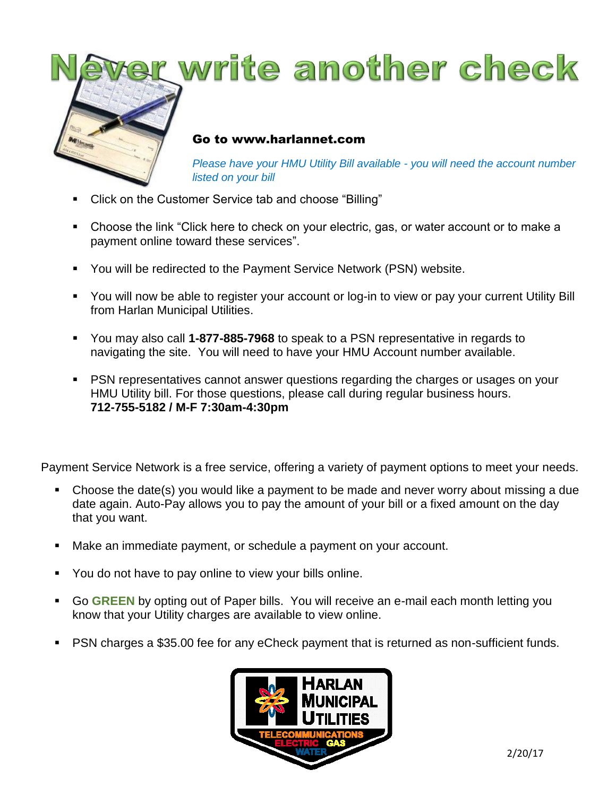

- Click on the Customer Service tab and choose "Billing"
- Choose the link "Click here to check on your electric, gas, or water account or to make a payment online toward these services".
- **You will be redirected to the Payment Service Network (PSN) website.**
- You will now be able to register your account or log-in to view or pay your current Utility Bill from Harlan Municipal Utilities.
- You may also call **1-877-885-7968** to speak to a PSN representative in regards to navigating the site. You will need to have your HMU Account number available.
- PSN representatives cannot answer questions regarding the charges or usages on your HMU Utility bill. For those questions, please call during regular business hours. **712-755-5182 / M-F 7:30am-4:30pm**

Payment Service Network is a free service, offering a variety of payment options to meet your needs.

- Choose the date(s) you would like a payment to be made and never worry about missing a due date again. Auto-Pay allows you to pay the amount of your bill or a fixed amount on the day that you want.
- Make an immediate payment, or schedule a payment on your account.
- You do not have to pay online to view your bills online.
- Go **GREEN** by opting out of Paper bills. You will receive an e-mail each month letting you know that your Utility charges are available to view online.
- PSN charges a \$35.00 fee for any eCheck payment that is returned as non-sufficient funds.